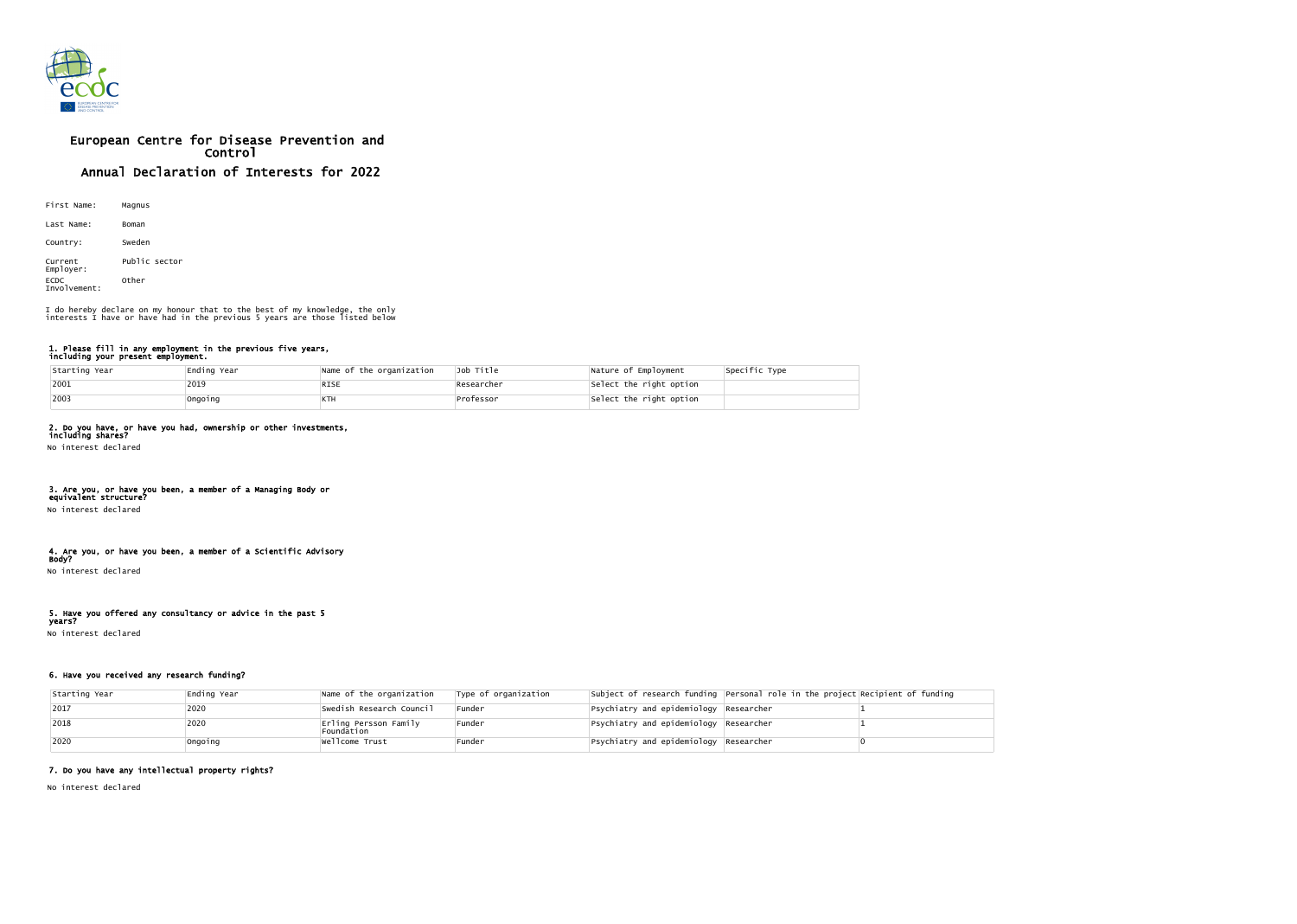

# European Centre for Disease Prevention and Control Annual Declaration of Interests for 2022

| First Name:                 | Magnus        |
|-----------------------------|---------------|
| Last Name:                  | Boman         |
| Country:                    | Sweden        |
| Current<br>Employer:        | Public sector |
| <b>ECDC</b><br>Involvement: | Other         |

#### 1. Please fill in any employment in the previous five years, including your present employment.

| Starting Year | Ending Year | Name of the organization | Job Title  | Nature of Employment    | Specific Type |
|---------------|-------------|--------------------------|------------|-------------------------|---------------|
| $ 2001$       | 2019        | <b>RISE</b>              | Researcher | Select the right option |               |
| $ 2003$       | Ongoing     | ктн                      | Professor  | Select the right option |               |

## 2. Do you have, or have you had, ownership or other investments,

including shares? No interest declared

### 3. Are you, or have you been, a member of a Managing Body or equivalent structure?

No interest declared

## 4. Are you, or have you been, a member of a Scientific Advisory

Body? No interest declared

## 5. Have you offered any consultancy or advice in the past 5

years? No interest declared

## 6. Have you received any research funding?

| Starting Year | Ending Year | Name of the organization            | Type of organization |                                                          | Subject of research funding Personal role in the project Recipient of funding |  |
|---------------|-------------|-------------------------------------|----------------------|----------------------------------------------------------|-------------------------------------------------------------------------------|--|
| 2017          | 2020        | Swedish Research Council            | Funder               | $\left $ Psychiatry and epidemiology $\left $ Researcher |                                                                               |  |
| 2018          | 2020        | Erling Persson Family<br>Foundation | Funder               | $\left $ Psychiatry and epidemiology $\left $ Researcher |                                                                               |  |
| 2020          | Ongoing     | Wellcome Trust                      | Funder               | $\left $ Psychiatry and epidemiology $\left $ Researcher |                                                                               |  |

## 7. Do you have any intellectual property rights?

No interest declared

I do hereby declare on my honour that to the best of my knowledge, the only interests I have or have had in the previous 5 years are those listed below